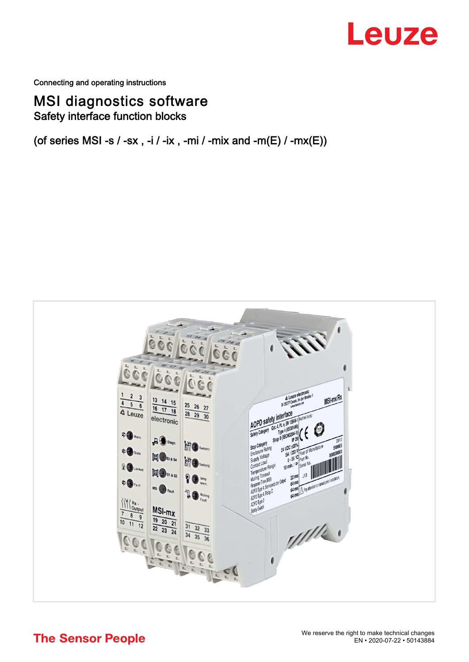# Leuze

Connecting and operating instructions

# MSI diagnostics software Safety interface function blocks

(of series MSI -s / -sx, -i / -ix, -mi / -mix and -m(E) / -mx(E))



**The Sensor People**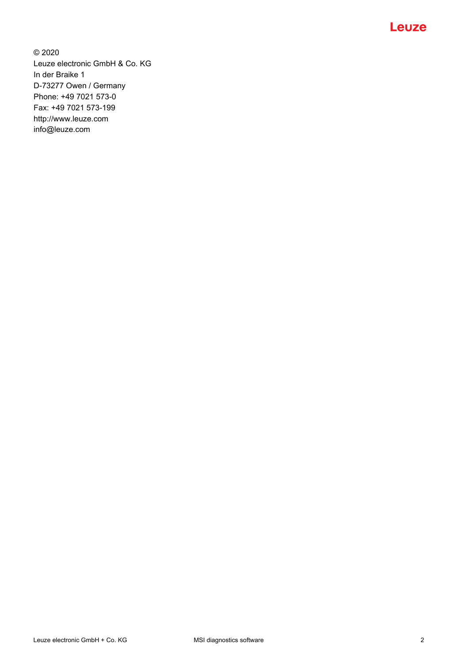

© 2020 Leuze electronic GmbH & Co. KG In der Braike 1 D-73277 Owen / Germany Phone: +49 7021 573-0 Fax: +49 7021 573-199 http://www.leuze.com info@leuze.com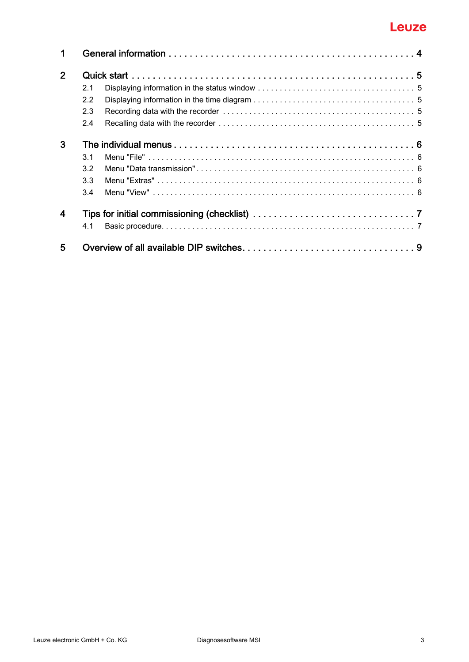# Leuze

| 1                |     |  |  |  |  |  |
|------------------|-----|--|--|--|--|--|
| 2 <sup>1</sup>   |     |  |  |  |  |  |
|                  | 2.1 |  |  |  |  |  |
|                  | 2.2 |  |  |  |  |  |
|                  | 2.3 |  |  |  |  |  |
|                  | 2.4 |  |  |  |  |  |
| 3                |     |  |  |  |  |  |
|                  | 3.1 |  |  |  |  |  |
|                  | 3.2 |  |  |  |  |  |
|                  | 3.3 |  |  |  |  |  |
|                  | 3.4 |  |  |  |  |  |
| $\boldsymbol{4}$ |     |  |  |  |  |  |
|                  | 41  |  |  |  |  |  |
| 5                |     |  |  |  |  |  |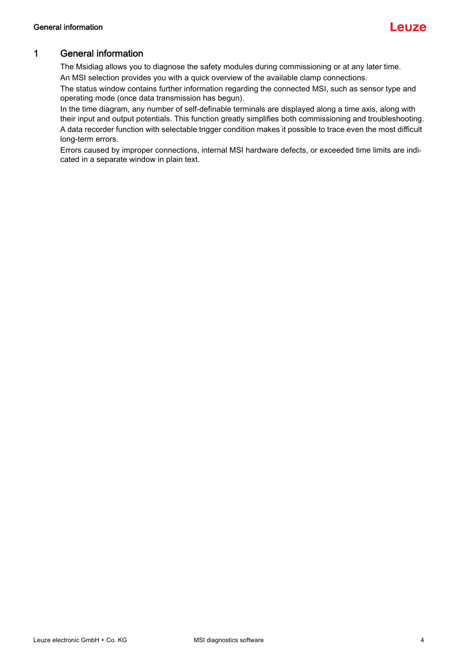

# <span id="page-3-0"></span>1 General information

The Msidiag allows you to diagnose the safety modules during commissioning or at any later time. An MSI selection provides you with a quick overview of the available clamp connections.

The status window contains further information regarding the connected MSI, such as sensor type and operating mode (once data transmission has begun).

In the time diagram, any number of self-definable terminals are displayed along a time axis, along with their input and output potentials. This function greatly simplifies both commissioning and troubleshooting.

A data recorder function with selectable trigger condition makes it possible to trace even the most difficult long-term errors.

Errors caused by improper connections, internal MSI hardware defects, or exceeded time limits are indicated in a separate window in plain text.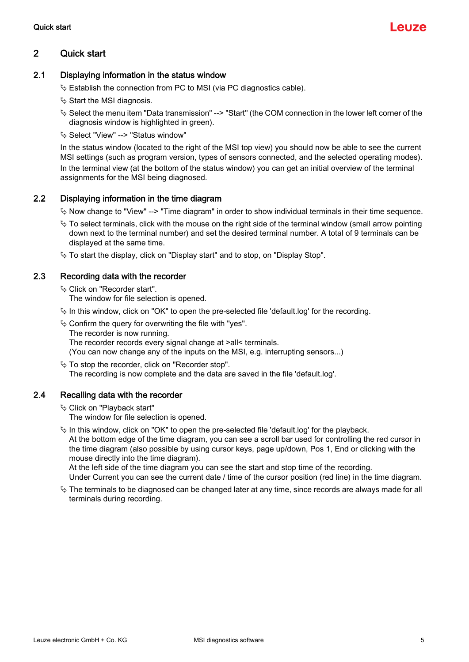## <span id="page-4-0"></span>2 Quick start

#### <span id="page-4-1"></span>2.1 Displaying information in the status window

- $\&$  Establish the connection from PC to MSI (via PC diagnostics cable).
- $\%$  Start the MSI diagnosis.
- Select the menu item "Data transmission" --> "Start" (the COM connection in the lower left corner of the diagnosis window is highlighted in green).
- Select "View" --> "Status window"

In the status window (located to the right of the MSI top view) you should now be able to see the current MSI settings (such as program version, types of sensors connected, and the selected operating modes). In the terminal view (at the bottom of the status window) you can get an initial overview of the terminal assignments for the MSI being diagnosed.

#### <span id="page-4-2"></span>2.2 Displaying information in the time diagram

 $\%$  Now change to "View" --> "Time diagram" in order to show individual terminals in their time sequence.

- $\%$  To select terminals, click with the mouse on the right side of the terminal window (small arrow pointing down next to the terminal number) and set the desired terminal number. A total of 9 terminals can be displayed at the same time.
- $\%$  To start the display, click on "Display start" and to stop, on "Display Stop".

#### <span id="page-4-3"></span>2.3 Recording data with the recorder

Click on "Recorder start".

The window for file selection is opened.

- $\%$  In this window, click on "OK" to open the pre-selected file 'default.log' for the recording.
- $\&$  Confirm the query for overwriting the file with "yes".
	- The recorder is now running.

The recorder records every signal change at >all< terminals.

- (You can now change any of the inputs on the MSI, e.g. interrupting sensors...)
- $\%$  To stop the recorder, click on "Recorder stop". The recording is now complete and the data are saved in the file 'default.log'.

## <span id="page-4-4"></span>2.4 Recalling data with the recorder

Click on "Playback start"

The window for file selection is opened.

 $\&$  In this window, click on "OK" to open the pre-selected file 'default.log' for the playback.

At the bottom edge of the time diagram, you can see a scroll bar used for controlling the red cursor in the time diagram (also possible by using cursor keys, page up/down, Pos 1, End or clicking with the mouse directly into the time diagram).

At the left side of the time diagram you can see the start and stop time of the recording. Under Current you can see the current date / time of the cursor position (red line) in the time diagram.

 $\%$  The terminals to be diagnosed can be changed later at any time, since records are always made for all terminals during recording.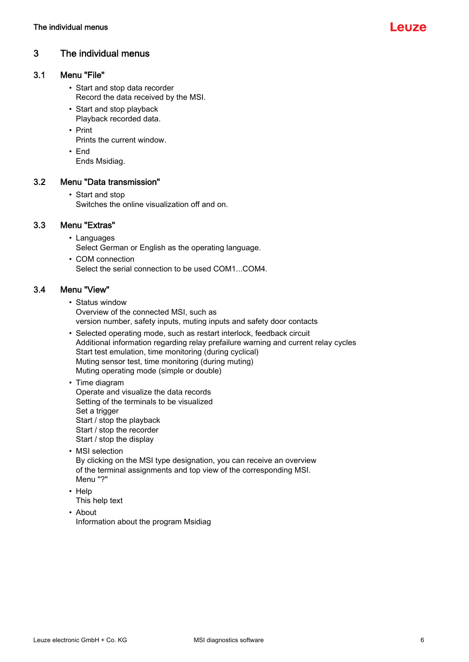## <span id="page-5-0"></span>3 The individual menus

## <span id="page-5-1"></span>3.1 Menu "File"

- Start and stop data recorder Record the data received by the MSI.
- Start and stop playback Playback recorded data.
- Print
	- Prints the current window.
- End
	- Ends Msidiag.

#### <span id="page-5-2"></span>3.2 Menu "Data transmission"

• Start and stop Switches the online visualization off and on.

#### <span id="page-5-3"></span>3.3 Menu "Extras"

- Languages Select German or English as the operating language.
- COM connection Select the serial connection to be used COM1...COM4.

#### <span id="page-5-4"></span>3.4 Menu "View"

- Status window Overview of the connected MSI, such as version number, safety inputs, muting inputs and safety door contacts
- Selected operating mode, such as restart interlock, feedback circuit Additional information regarding relay prefailure warning and current relay cycles Start test emulation, time monitoring (during cyclical) Muting sensor test, time monitoring (during muting) Muting operating mode (simple or double)
- Time diagram Operate and visualize the data records Setting of the terminals to be visualized Set a trigger Start / stop the playback Start / stop the recorder Start / stop the display
- MSI selection By clicking on the MSI type designation, you can receive an overview of the terminal assignments and top view of the corresponding MSI. Menu "?"
- Help This help text
- About Information about the program Msidiag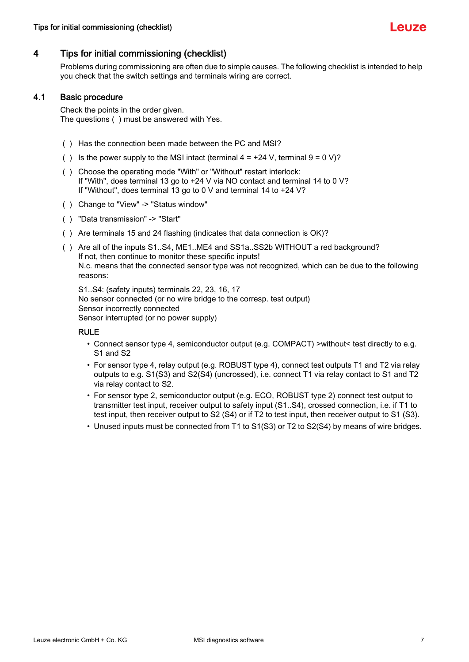

## <span id="page-6-0"></span>4 Tips for initial commissioning (checklist)

Problems during commissioning are often due to simple causes. The following checklist is intended to help you check that the switch settings and terminals wiring are correct.

#### <span id="page-6-1"></span>4.1 Basic procedure

Check the points in the order given. The questions ( ) must be answered with Yes.

- ( ) Has the connection been made between the PC and MSI?
- () Is the power supply to the MSI intact (terminal  $4 = +24$  V, terminal  $9 = 0$  V)?
- ( ) Choose the operating mode "With" or "Without" restart interlock: If "With", does terminal 13 go to +24 V via NO contact and terminal 14 to 0 V? If "Without", does terminal 13 go to 0 V and terminal 14 to +24 V?
- ( ) Change to "View" -> "Status window"
- ( ) "Data transmission" -> "Start"
- ( ) Are terminals 15 and 24 flashing (indicates that data connection is OK)?
- ( ) Are all of the inputs S1..S4, ME1..ME4 and SS1a..SS2b WITHOUT a red background? If not, then continue to monitor these specific inputs! N.c. means that the connected sensor type was not recognized, which can be due to the following reasons:

S1..S4: (safety inputs) terminals 22, 23, 16, 17 No sensor connected (or no wire bridge to the corresp. test output) Sensor incorrectly connected Sensor interrupted (or no power supply)

#### RULE

- Connect sensor type 4, semiconductor output (e.g. COMPACT) >without< test directly to e.g. S1 and S2
- For sensor type 4, relay output (e.g. ROBUST type 4), connect test outputs T1 and T2 via relay outputs to e.g. S1(S3) and S2(S4) (uncrossed), i.e. connect T1 via relay contact to S1 and T2 via relay contact to S2.
- For sensor type 2, semiconductor output (e.g. ECO, ROBUST type 2) connect test output to transmitter test input, receiver output to safety input (S1..S4), crossed connection, i.e. if T1 to test input, then receiver output to S2 (S4) or if T2 to test input, then receiver output to S1 (S3).
- Unused inputs must be connected from T1 to S1(S3) or T2 to S2(S4) by means of wire bridges.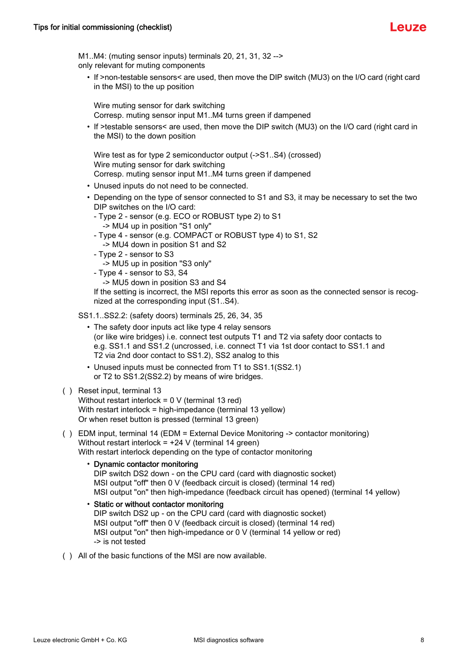

M1..M4: (muting sensor inputs) terminals 20, 21, 31, 32 --> only relevant for muting components

• If >non-testable sensors< are used, then move the DIP switch (MU3) on the I/O card (right card in the MSI) to the up position

Wire muting sensor for dark switching Corresp. muting sensor input M1..M4 turns green if dampened

• If >testable sensors< are used, then move the DIP switch (MU3) on the I/O card (right card in the MSI) to the down position

Wire test as for type 2 semiconductor output (->S1..S4) (crossed) Wire muting sensor for dark switching Corresp. muting sensor input M1..M4 turns green if dampened

- Unused inputs do not need to be connected.
- Depending on the type of sensor connected to S1 and S3, it may be necessary to set the two DIP switches on the I/O card:
	- Type 2 sensor (e.g. ECO or ROBUST type 2) to S1 -> MU4 up in position "S1 only"
	- Type 4 sensor (e.g. COMPACT or ROBUST type 4) to S1, S2 -> MU4 down in position S1 and S2
	- Type 2 sensor to S3

-> MU5 up in position "S3 only"

- Type 4 sensor to S3, S4
	- -> MU5 down in position S3 and S4

If the setting is incorrect, the MSI reports this error as soon as the connected sensor is recognized at the corresponding input (S1..S4).

- SS1.1..SS2.2: (safety doors) terminals 25, 26, 34, 35
	- The safety door inputs act like type 4 relay sensors (or like wire bridges) i.e. connect test outputs T1 and T2 via safety door contacts to e.g. SS1.1 and SS1.2 (uncrossed, i.e. connect T1 via 1st door contact to SS1.1 and T2 via 2nd door contact to SS1.2), SS2 analog to this
	- Unused inputs must be connected from T1 to SS1.1(SS2.1) or T2 to SS1.2(SS2.2) by means of wire bridges.

#### ( ) Reset input, terminal 13

Without restart interlock = 0 V (terminal 13 red) With restart interlock = high-impedance (terminal 13 yellow) Or when reset button is pressed (terminal 13 green)

( ) EDM input, terminal 14 (EDM = External Device Monitoring -> contactor monitoring) Without restart interlock = +24 V (terminal 14 green) With restart interlock depending on the type of contactor monitoring

#### • Dynamic contactor monitoring

DIP switch DS2 down - on the CPU card (card with diagnostic socket) MSI output "off" then 0 V (feedback circuit is closed) (terminal 14 red) MSI output "on" then high-impedance (feedback circuit has opened) (terminal 14 yellow)

#### • Static or without contactor monitoring

DIP switch DS2 up - on the CPU card (card with diagnostic socket) MSI output "off" then 0 V (feedback circuit is closed) (terminal 14 red) MSI output "on" then high-impedance or 0 V (terminal 14 yellow or red) -> is not tested

( ) All of the basic functions of the MSI are now available.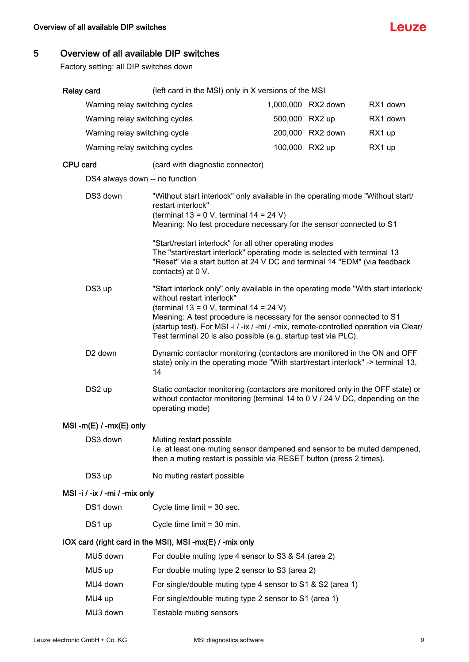

# <span id="page-8-0"></span>5 Overview of all available DIP switches

Factory setting: all DIP switches down

| Relay card                                               |                                | (left card in the MSI) only in X versions of the MSI                                                                                                                                                                                                                                                                                                                                            |  |                    |          |  |
|----------------------------------------------------------|--------------------------------|-------------------------------------------------------------------------------------------------------------------------------------------------------------------------------------------------------------------------------------------------------------------------------------------------------------------------------------------------------------------------------------------------|--|--------------------|----------|--|
|                                                          | Warning relay switching cycles |                                                                                                                                                                                                                                                                                                                                                                                                 |  | 1,000,000 RX2 down | RX1 down |  |
|                                                          | Warning relay switching cycles |                                                                                                                                                                                                                                                                                                                                                                                                 |  | 500,000 RX2 up     | RX1 down |  |
|                                                          | Warning relay switching cycle  |                                                                                                                                                                                                                                                                                                                                                                                                 |  | 200,000 RX2 down   | RX1 up   |  |
|                                                          | Warning relay switching cycles |                                                                                                                                                                                                                                                                                                                                                                                                 |  | 100,000 RX2 up     | RX1 up   |  |
| CPU card                                                 |                                | (card with diagnostic connector)                                                                                                                                                                                                                                                                                                                                                                |  |                    |          |  |
|                                                          | DS4 always down -- no function |                                                                                                                                                                                                                                                                                                                                                                                                 |  |                    |          |  |
|                                                          | DS3 down                       | "Without start interlock" only available in the operating mode "Without start/<br>restart interlock"<br>(terminal $13 = 0$ V, terminal $14 = 24$ V)<br>Meaning: No test procedure necessary for the sensor connected to S1                                                                                                                                                                      |  |                    |          |  |
|                                                          |                                | "Start/restart interlock" for all other operating modes<br>The "start/restart interlock" operating mode is selected with terminal 13<br>"Reset" via a start button at 24 V DC and terminal 14 "EDM" (via feedback<br>contacts) at 0 V.                                                                                                                                                          |  |                    |          |  |
|                                                          | DS3 up                         | "Start interlock only" only available in the operating mode "With start interlock/<br>without restart interlock"<br>(terminal $13 = 0$ V, terminal $14 = 24$ V)<br>Meaning: A test procedure is necessary for the sensor connected to S1<br>(startup test). For MSI-i /-ix /-mi /-mix, remote-controlled operation via Clear/<br>Test terminal 20 is also possible (e.g. startup test via PLC). |  |                    |          |  |
|                                                          | D <sub>2</sub> down            | Dynamic contactor monitoring (contactors are monitored in the ON and OFF<br>state) only in the operating mode "With start/restart interlock" -> terminal 13,<br>14                                                                                                                                                                                                                              |  |                    |          |  |
|                                                          | DS2 up                         | Static contactor monitoring (contactors are monitored only in the OFF state) or<br>without contactor monitoring (terminal 14 to 0 V / 24 V DC, depending on the<br>operating mode)                                                                                                                                                                                                              |  |                    |          |  |
|                                                          | $MSI - m(E)$ / - $mx(E)$ only  |                                                                                                                                                                                                                                                                                                                                                                                                 |  |                    |          |  |
|                                                          | DS3 down                       | Muting restart possible<br>i.e. at least one muting sensor dampened and sensor to be muted dampened,<br>then a muting restart is possible via RESET button (press 2 times).                                                                                                                                                                                                                     |  |                    |          |  |
|                                                          | DS3 up                         | No muting restart possible                                                                                                                                                                                                                                                                                                                                                                      |  |                    |          |  |
| MSI-i / -ix / -mi / -mix only                            |                                |                                                                                                                                                                                                                                                                                                                                                                                                 |  |                    |          |  |
|                                                          | DS1 down                       | Cycle time limit = 30 sec.                                                                                                                                                                                                                                                                                                                                                                      |  |                    |          |  |
|                                                          | DS1 up                         | Cycle time limit = 30 min.                                                                                                                                                                                                                                                                                                                                                                      |  |                    |          |  |
| IOX card (right card in the MSI), MSI -mx(E) / -mix only |                                |                                                                                                                                                                                                                                                                                                                                                                                                 |  |                    |          |  |
|                                                          | MU5 down                       | For double muting type 4 sensor to S3 & S4 (area 2)                                                                                                                                                                                                                                                                                                                                             |  |                    |          |  |
|                                                          | MU5 up                         | For double muting type 2 sensor to S3 (area 2)                                                                                                                                                                                                                                                                                                                                                  |  |                    |          |  |
|                                                          | MU4 down                       | For single/double muting type 4 sensor to S1 & S2 (area 1)                                                                                                                                                                                                                                                                                                                                      |  |                    |          |  |
|                                                          | MU4 up                         | For single/double muting type 2 sensor to S1 (area 1)                                                                                                                                                                                                                                                                                                                                           |  |                    |          |  |
|                                                          | MU3 down                       | Testable muting sensors                                                                                                                                                                                                                                                                                                                                                                         |  |                    |          |  |
|                                                          |                                |                                                                                                                                                                                                                                                                                                                                                                                                 |  |                    |          |  |